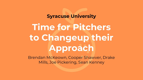#### **Syracuse University**

# **Time for Pitchers to Changeup their Approach**

Brendan McKeown, Cooper Shawver, Drake Mills, Joe Pickering, Sean Kenney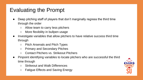## Evaluating the Prompt

- Deep pitching staff of players that don't marginally regress the third time through the order
	- Allow team to carry less pitchers
	- More flexibility in bullpen usage
- Investigate variables that allow pitchers to have relative success third time through
	- Pitch Arsenals and Pitch Types
	- Primary and Secondary Pitches
	- Contact Pitchers vs. Strikeout Pitchers
- Pinpoint identifying variables to locate pitchers who are successful the third time through
	- Strikeout and Walk Differences
	- Fatigue Effects and Saving Energy

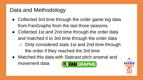### Data and Methodology

- Collected 3rd time through the order game log data from FanGraphs from the last three seasons.
- Collected 1st and 2nd time through the order data and matched it to 3rd time through the order data
	- Only considered stats 1st and 2nd time through the order if they reached the 3rd time
- Matched this data with Statcast pitch arsenal and movement data**MIFANGRAPHS**

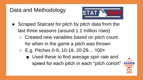### Data and Methodology



- Scraped Statcast for pitch by pitch data from the last three seasons (around 1.1 million rows)
	- Created new variables based on pitch count for when in the game a pitch was thrown
	- E.g. Pitches 0-9, 10-19, 20-29… 100+ ■ Used these to find average spin rate and speed for each pitch in each "pitch cohort"

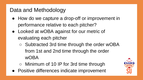### Data and Methodology

- How do we capture a drop-off or improvement in performance relative to each pitcher?
- Looked at wOBA against for our metric of evaluating each pitcher
	- Subtracted 3rd time through the order wOBA from 1st and 2nd time through the order wOBA
	- Minimum of 10 IP for 3rd time through
- Positive differences indicate improvement

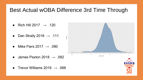### Best Actual wOBA Difference 3rd Time Through

- Rich Hill 2017  $\rightarrow$  .120
- Dan Straily 2018  $\rightarrow$  .111
- Mike Fiers 2017  $\rightarrow .090$
- James Paxton 2018  $\rightarrow .082$
- Trevor Williams 2019  $\rightarrow .066$

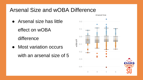### Arsenal Size and wOBA Difference

● Arsenal size has little

effect on wOBA

difference

● Most variation occurs with an arsenal size of 5

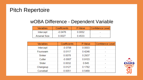### Pitch Repertoire

| <b>Variables</b>    | Coefficients | P-Value | Confidence Level |
|---------------------|--------------|---------|------------------|
| Intercept           | $-0.0476$    | 0.0052  |                  |
| <b>Arsenal Size</b> | 0.0027       | 0.4533  |                  |

| Variables | Coefficients | P-Value | <b>Confidence Level</b> |
|-----------|--------------|---------|-------------------------|
| Intercept | $-0.0706$    | 0.0003  |                         |
| Fourseam  | 0.0117       | 0.4246  |                         |
| Sinker    | 0.0078       | 0.2937  |                         |
| Cutter    | $-0.0007$    | 0.9103  |                         |
| Slider    | 0.0032       | 0.645   |                         |
| Changeup  | 0.0127       | 0.1782  |                         |
| Curveball | 0.0051       | 0.5489  |                         |

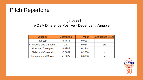### Pitch Repertoire

#### Logit Model wOBA Difference Positive - Dependent Variable

| <b>Variables</b>            | Coefficients | P-Value | <b>Confidence Level</b> |
|-----------------------------|--------------|---------|-------------------------|
| Intercept                   | 0.1713       | 0.0074  |                         |
| Changeup and Curveball      | 0.13         | 0.0241  | 5%                      |
| Slider and Changeup         | 0.0705       | 0.2444  |                         |
| <b>Slider and Curveball</b> | $-0.0697$    | 0.2608  |                         |
| Fourseam and Sinker         | $-0.0072$    | 0.8938  |                         |

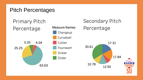### Pitch Percentages

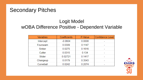#### Secondary Pitches

#### Logit Model wOBA Difference Positive - Dependent Variable

| <b>Variables</b> | Coefficients | P-Value | <b>Confidence Level</b> |
|------------------|--------------|---------|-------------------------|
| Intercept        | $-0.0604$    | 0.0008  |                         |
| Fourseam         | 0.0309       | 0.1147  |                         |
| Sinker           | 0.0275       | 0.1616  |                         |
| Cutter           | 0.0315       | 0.134   |                         |
| Slider           | 0.02721      | 0.1417  |                         |
| Changeup         | 0.0179       | 0.3543  |                         |
| Curveball        | 0.0242       | 0.2074  |                         |

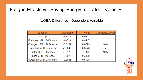#### Fatigue Effects vs. Saving Energy for Later - Velocity

| <b>Variables</b>                | Coefficients | P-Value | <b>Confidence Level</b> |
|---------------------------------|--------------|---------|-------------------------|
| Intercept                       | 0.0012       | 0.9407  |                         |
| Fourseam MPH Difference         | 0.0016       | 0.9417  |                         |
| Changeup MPH Difference         | $-0.0189$    | 0.0879  | 10%                     |
| <b>Curveball MPH Difference</b> | $-0.0045$    | 0.6528  |                         |
| <b>Cutter MPH Difference</b>    | $-0.0176$    | 0.093   | 10%                     |
| <b>Slider MPH Difference</b>    | $-0.0076$    | 0.3308  |                         |
| <b>Twoseam MPH Difference</b>   | $-0.0065$    | 0.5708  |                         |

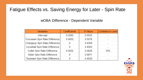#### Fatigue Effects vs. Saving Energy for Later - Spin Rate

| <b>Variables</b>                    | Coefficients | P-Value | <b>Confidence Level</b> |
|-------------------------------------|--------------|---------|-------------------------|
| Intercept                           | 0.0282       | 0.0525  |                         |
| Fourseam Spin Rate Difference       | 0.0002       | 0.5078  |                         |
| Changeup Spin Rate Difference       |              | 0.9384  |                         |
| Curveball Spin Rate Difference      |              | 0.4002  |                         |
| <b>Cutter Spin Rate Difference</b>  | 0.0002       | 0.0826  | 10%                     |
| Slider Spin Rate Difference         |              | 0.9871  |                         |
| <b>Twoseam Spin Rate Difference</b> |              | 0.4529  |                         |

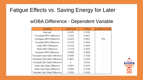## Fatigue Effects vs. Saving Energy for Later

| Variables                             | Coefficients | P-Value | Confidence Level |
|---------------------------------------|--------------|---------|------------------|
| Intercept                             | 0.0076       | 0.7225  |                  |
| Fourseam MPH Difference               | $-0.005$     | 0.8631  |                  |
| Changeup MPH Difference               | $-0.0274$    | 0.0951  | 10%              |
| <b>Curveball MPH Difference</b>       | $-0.0137$    | 0.4426  |                  |
| <b>Cutter MPH Difference</b>          | $-0.0132$    | 0.3676  |                  |
| <b>Slider MPH Difference</b>          | $-0.0118$    | 0.3679  |                  |
| <b>Twoseam MPH Difference</b>         | 0.0068       | 0.7668  |                  |
| Fourseam Spin Rate Difference         | 0.0006       | 0.1242  |                  |
| Changeup Spin Rate Difference         | 0.0001       | 0.5443  |                  |
| <b>Curveball Spin Rate Difference</b> | 0            | 0.9752  |                  |
| <b>Cutter Spin Rate Difference</b>    | 0.0001       | 0.4078  |                  |
| Slider Spin Rate Difference           | $-0.0002$    | 0.3788  |                  |
| <b>Twoseam Spin Rate Difference</b>   | $-0.0002$    | 0.4292  |                  |

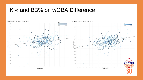#### K% and BB% on wOBA Difference



Change in K% on wOBA Differential

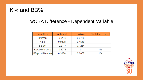### K% and BB%

| <b>Variables</b>         | Coefficients | P-Value | <b>Confidence Level</b> |
|--------------------------|--------------|---------|-------------------------|
| Intercept                | $-0.0146$    | 0.3766  |                         |
| K pct                    | 0.0398       | 0.4559  |                         |
| BB pct                   | $-0.2117$    | 0.1264  |                         |
| K pct difference         | $-0.3273$    |         | $1\%$                   |
| <b>BB</b> pct difference | 0.3388       | 0.0007  | $1\%$                   |

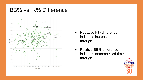### BB% vs. K% Difference



- Negative K% difference indicates increase third time through
- Positive BB% difference indicates decrease 3rd time through

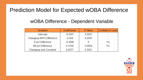### Prediction Model for Expected wOBA Difference

| Variables                | Coefficients | P-Value | <b>Confidence Level</b> |
|--------------------------|--------------|---------|-------------------------|
| Intercept                | $-0.0241$    | 0.0031  |                         |
| Changeup MPH Difference  | $-0.004$     | 0.2547  | -                       |
| K pct Difference         | $-0.3096$    |         | $1\%$                   |
| <b>BB</b> pct Difference | 0.3706       | 0.0004  | $1\%$                   |
| Changeup and Curveball   | 0.0077       | 0.3551  |                         |

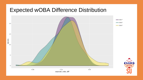#### Expected wOBA Difference Distribution

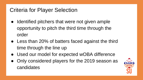## Criteria for Player Selection

- Identified pitchers that were not given ample opportunity to pitch the third time through the order
- Less than 20% of batters faced against the third time through the line up
- Used our model for expected wOBA difference
- Only considered players for the 2019 season as candidates

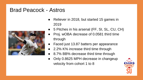### Brad Peacock - Astros



- Reliever in 2018, but started 15 games in 2019
- 5 Pitches in his arsenal (FF, SI, SL, CU, CH)
- Proj. wOBA decrease of 0.0581 third time through
- Faced just 13.87 batters per appearance
- 2.2% K% increase third time through
- 8.7% BB% decrease third time through
- Only 0.8625 MPH decrease in changeup velocity from cohort 1 to 8

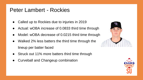### Peter Lambert - Rockies

- Called up to Rockies due to injuries in 2019
- Actual: wOBA increase of 0.0833 third time through
- Model: wOBA decrease of 0.0215 third time through
- Walked 2% less batters the third time through the lineup per batter faced
- Struck out 11% more batters third time through
- **Curveball and Changeup combination**



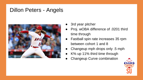### Dillon Peters - Angels



- 3rd year pitcher
- Proj. wOBA difference of .0201 third time through
- Fastball spin rate increases 35 rpm between cohort 1 and 8
- Changeup mph drops only .5 mph
- K% up 11% third time through
- **Changeup Curve combination**

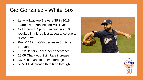### Gio Gonzalez - White Sox

- Lefty Milwaukee Brewers SP in 2019, started with Yankees on MiLB Deal.
- Not a normal Spring Training in 2019, resulted in Injured List appearance due to "Dead Arm"
- Proj. 0.1121 wOBA decrease 3rd time through
- 16.22 Batters Faced per appearance
- 28.08 Changeup Spin Rate increase
- 3% K increase third time through
- 5.3% BB decrease third time through



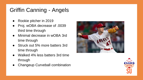# Griffin Canning - Angels

- Rookie pitcher in 2019
- Proj. wOBA decrease of .0039 third time through
- Minimal decrease in wOBA 3rd time through
- Struck out 5% more batters 3rd time through
- Walked 4% less batters 3rd time through
- **Changeup Curveball combination**



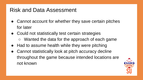### Risk and Data Assessment

- Cannot account for whether they save certain pitches for later
- Could not statistically test certain strategies ○ Wanted the data for the approach of each game
- Had to assume health while they were pitching
- Cannot statistically look at pitch accuracy decline throughout the game because intended locations are not known